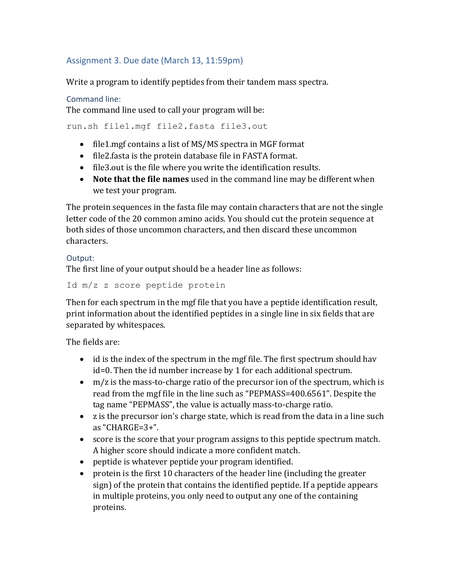# Assignment 3. Due date (March 13, 11:59pm)

Write a program to identify peptides from their tandem mass spectra.

#### Command line:

The command line used to call your program will be:

run.sh file1.mgf file2.fasta file3.out

- file1.mgf contains a list of MS/MS spectra in MGF format
- file2.fasta is the protein database file in FASTA format.
- $\bullet$  file3.out is the file where you write the identification results.
- Note that the file names used in the command line may be different when we test your program.

The protein sequences in the fasta file may contain characters that are not the single letter code of the 20 common amino acids. You should cut the protein sequence at both sides of those uncommon characters, and then discard these uncommon characters.

#### Output:

The first line of your output should be a header line as follows:

Id m/z z score peptide protein

Then for each spectrum in the mgf file that you have a peptide identification result, print information about the identified peptides in a single line in six fields that are separated by whitespaces.

The fields are:

- $\bullet$  id is the index of the spectrum in the mgf file. The first spectrum should hav  $id=0$ . Then the id number increase by 1 for each additional spectrum.
- $m/z$  is the mass-to-charge ratio of the precursor ion of the spectrum, which is read from the mgf file in the line such as "PEPMASS=400.6561". Despite the tag name "PEPMASS", the value is actually mass-to-charge ratio.
- z is the precursor ion's charge state, which is read from the data in a line such as "CHARGE= $3+$ ".
- score is the score that your program assigns to this peptide spectrum match. A higher score should indicate a more confident match.
- peptide is whatever peptide your program identified.
- protein is the first 10 characters of the header line (including the greater sign) of the protein that contains the identified peptide. If a peptide appears in multiple proteins, you only need to output any one of the containing proteins.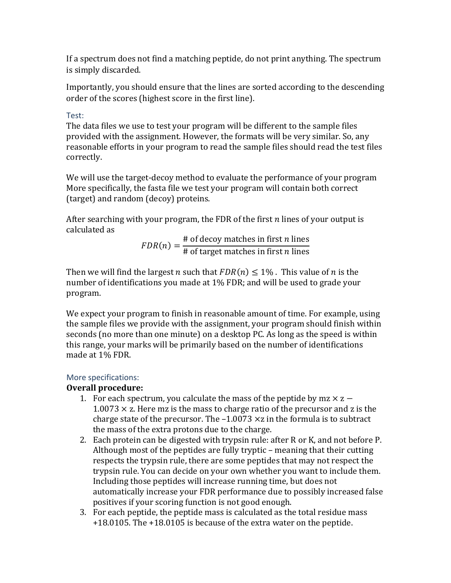If a spectrum does not find a matching peptide, do not print anything. The spectrum is simply discarded.

Importantly, you should ensure that the lines are sorted according to the descending order of the scores (highest score in the first line).

### Test:

The data files we use to test your program will be different to the sample files provided with the assignment. However, the formats will be very similar. So, any reasonable efforts in your program to read the sample files should read the test files correctly. 

We will use the target-decoy method to evaluate the performance of your program More specifically, the fasta file we test your program will contain both correct (target) and random (decoy) proteins.

After searching with your program, the FDR of the first  $n$  lines of your output is calculated as

$$
FDR(n) = \frac{\text{# of decay matches in first } n \text{ lines}}{\text{# of target matches in first } n \text{ lines}}
$$

Then we will find the largest *n* such that  $FDR(n) \leq 1\%$ . This value of *n* is the number of identifications you made at 1% FDR; and will be used to grade your program.

We expect your program to finish in reasonable amount of time. For example, using the sample files we provide with the assignment, your program should finish within seconds (no more than one minute) on a desktop PC. As long as the speed is within this range, your marks will be primarily based on the number of identifications made at 1% FDR.

## More specifications:

## **Overall procedure:**

- 1. For each spectrum, you calculate the mass of the peptide by mz  $\times$  z  $1.0073 \times z$ . Here mz is the mass to charge ratio of the precursor and z is the charge state of the precursor. The  $-1.0073 \times z$  in the formula is to subtract the mass of the extra protons due to the charge.
- 2. Each protein can be digested with trypsin rule: after R or K, and not before P. Although most of the peptides are fully tryptic  $-$  meaning that their cutting respects the trypsin rule, there are some peptides that may not respect the trypsin rule. You can decide on your own whether you want to include them. Including those peptides will increase running time, but does not automatically increase your FDR performance due to possibly increased false positives if your scoring function is not good enough.
- 3. For each peptide, the peptide mass is calculated as the total residue mass  $+18.0105$ . The  $+18.0105$  is because of the extra water on the peptide.